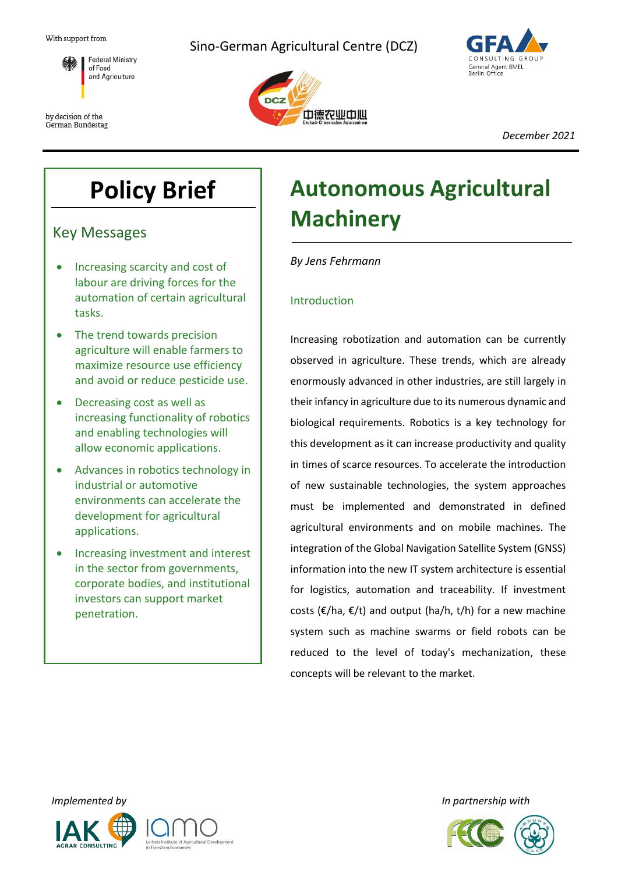

by decision of the German Bundestag Sino-German Agricultural Centre (DCZ)





*December 2021*

## **Policy Brief**

Key Messages

- Increasing scarcity and cost of labour are driving forces for the automation of certain agricultural tasks.
- The trend towards precision agriculture will enable farmers to maximize resource use efficiency and avoid or reduce pesticide use.
- Decreasing cost as well as increasing functionality of robotics and enabling technologies will allow economic applications.
- Advances in robotics technology in industrial or automotive environments can accelerate the development for agricultural applications.
- Increasing investment and interest in the sector from governments, corporate bodies, and institutional investors can support market penetration.

# **Autonomous Agricultural Machinery**

*By Jens Fehrmann*

## Introduction

Increasing robotization and automation can be currently observed in agriculture. These trends, which are already enormously advanced in other industries, are still largely in their infancy in agriculture due to its numerous dynamic and biological requirements. Robotics is a key technology for this development as it can increase productivity and quality in times of scarce resources. To accelerate the introduction of new sustainable technologies, the system approaches must be implemented and demonstrated in defined agricultural environments and on mobile machines. The integration of the Global Navigation Satellite System (GNSS) information into the new IT system architecture is essential for logistics, automation and traceability. If investment costs ( $\epsilon$ /ha,  $\epsilon$ /t) and output (ha/h, t/h) for a new machine system such as machine swarms or field robots can be reduced to the level of today's mechanization, these concepts will be relevant to the market.



*Implemented by In partnership with*

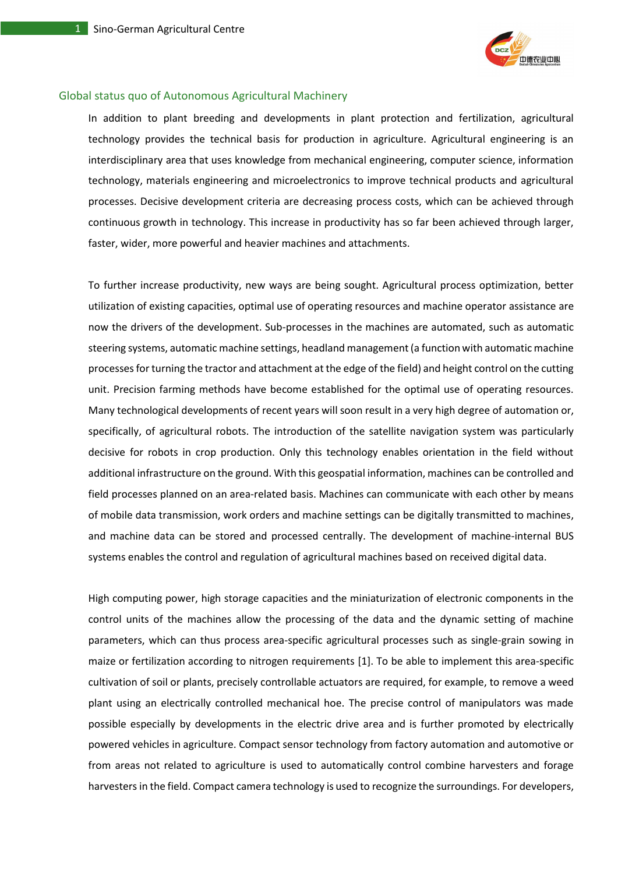

#### Global status quo of Autonomous Agricultural Machinery

In addition to plant breeding and developments in plant protection and fertilization, agricultural technology provides the technical basis for production in agriculture. Agricultural engineering is an interdisciplinary area that uses knowledge from mechanical engineering, computer science, information technology, materials engineering and microelectronics to improve technical products and agricultural processes. Decisive development criteria are decreasing process costs, which can be achieved through continuous growth in technology. This increase in productivity has so far been achieved through larger, faster, wider, more powerful and heavier machines and attachments.

To further increase productivity, new ways are being sought. Agricultural process optimization, better utilization of existing capacities, optimal use of operating resources and machine operator assistance are now the drivers of the development. Sub-processes in the machines are automated, such as automatic steering systems, automatic machine settings, headland management (a function with automatic machine processes for turning the tractor and attachment at the edge of the field) and height control on the cutting unit. Precision farming methods have become established for the optimal use of operating resources. Many technological developments of recent years will soon result in a very high degree of automation or, specifically, of agricultural robots. The introduction of the satellite navigation system was particularly decisive for robots in crop production. Only this technology enables orientation in the field without additional infrastructure on the ground. With this geospatial information, machines can be controlled and field processes planned on an area-related basis. Machines can communicate with each other by means of mobile data transmission, work orders and machine settings can be digitally transmitted to machines, and machine data can be stored and processed centrally. The development of machine-internal BUS systems enables the control and regulation of agricultural machines based on received digital data.

High computing power, high storage capacities and the miniaturization of electronic components in the control units of the machines allow the processing of the data and the dynamic setting of machine parameters, which can thus process area-specific agricultural processes such as single-grain sowing in maize or fertilization according to nitrogen requirements [1]. To be able to implement this area-specific cultivation of soil or plants, precisely controllable actuators are required, for example, to remove a weed plant using an electrically controlled mechanical hoe. The precise control of manipulators was made possible especially by developments in the electric drive area and is further promoted by electrically powered vehicles in agriculture. Compact sensor technology from factory automation and automotive or from areas not related to agriculture is used to automatically control combine harvesters and forage harvesters in the field. Compact camera technology is used to recognize the surroundings. For developers,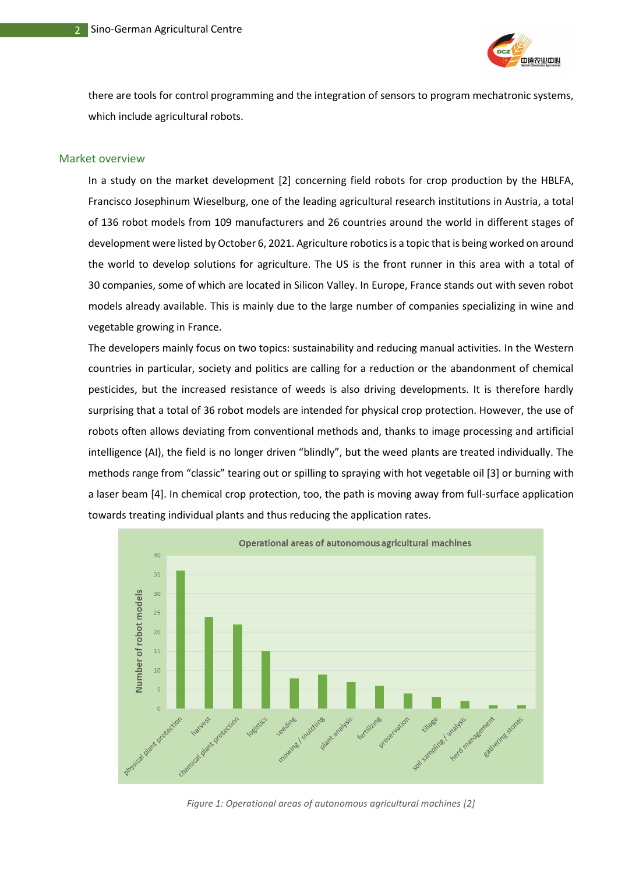

there are tools for control programming and the integration of sensors to program mechatronic systems, which include agricultural robots.

#### Market overview

In a study on the market development [2] concerning field robots for crop production by the HBLFA, Francisco Josephinum Wieselburg, one of the leading agricultural research institutions in Austria, a total of 136 robot models from 109 manufacturers and 26 countries around the world in different stages of development were listed by October 6, 2021. Agriculture robotics is a topic that is being worked on around the world to develop solutions for agriculture. The US is the front runner in this area with a total of 30 companies, some of which are located in Silicon Valley. In Europe, France stands out with seven robot models already available. This is mainly due to the large number of companies specializing in wine and vegetable growing in France.

The developers mainly focus on two topics: sustainability and reducing manual activities. In the Western countries in particular, society and politics are calling for a reduction or the abandonment of chemical pesticides, but the increased resistance of weeds is also driving developments. It is therefore hardly surprising that a total of 36 robot models are intended for physical crop protection. However, the use of robots often allows deviating from conventional methods and, thanks to image processing and artificial intelligence (AI), the field is no longer driven "blindly", but the weed plants are treated individually. The methods range from "classic" tearing out or spilling to spraying with hot vegetable oil [3] or burning with a laser beam [4]. In chemical crop protection, too, the path is moving away from full-surface application towards treating individual plants and thus reducing the application rates.



*Figure 1: Operational areas of autonomous agricultural machines [2]*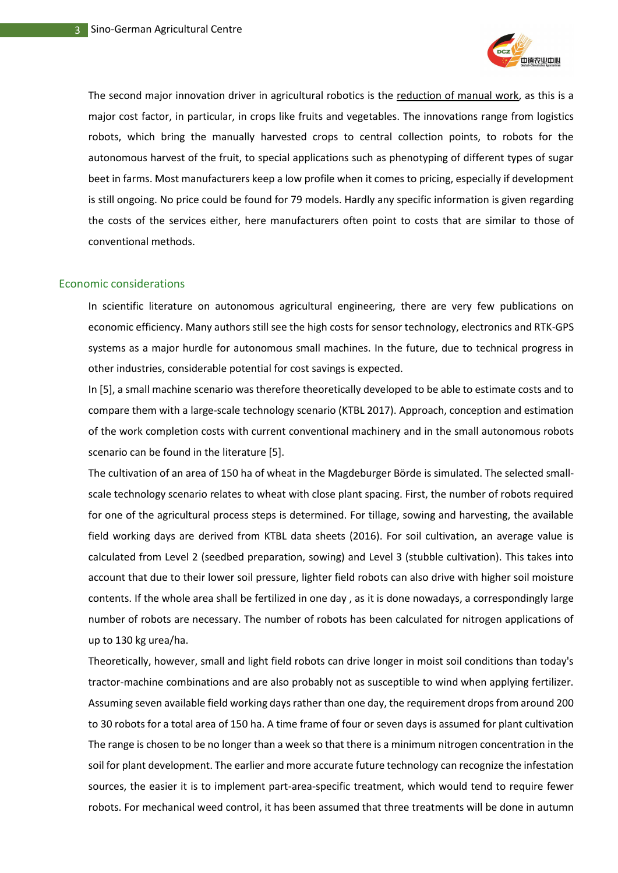

The second major innovation driver in agricultural robotics is the reduction of manual work, as this is a major cost factor, in particular, in crops like fruits and vegetables. The innovations range from logistics robots, which bring the manually harvested crops to central collection points, to robots for the autonomous harvest of the fruit, to special applications such as phenotyping of different types of sugar beet in farms. Most manufacturers keep a low profile when it comes to pricing, especially if development is still ongoing. No price could be found for 79 models. Hardly any specific information is given regarding the costs of the services either, here manufacturers often point to costs that are similar to those of conventional methods.

#### Economic considerations

In scientific literature on autonomous agricultural engineering, there are very few publications on economic efficiency. Many authors still see the high costs for sensor technology, electronics and RTK-GPS systems as a major hurdle for autonomous small machines. In the future, due to technical progress in other industries, considerable potential for cost savings is expected.

In [5], a small machine scenario was therefore theoretically developed to be able to estimate costs and to compare them with a large-scale technology scenario (KTBL 2017). Approach, conception and estimation of the work completion costs with current conventional machinery and in the small autonomous robots scenario can be found in the literature [5].

The cultivation of an area of 150 ha of wheat in the Magdeburger Börde is simulated. The selected smallscale technology scenario relates to wheat with close plant spacing. First, the number of robots required for one of the agricultural process steps is determined. For tillage, sowing and harvesting, the available field working days are derived from KTBL data sheets (2016). For soil cultivation, an average value is calculated from Level 2 (seedbed preparation, sowing) and Level 3 (stubble cultivation). This takes into account that due to their lower soil pressure, lighter field robots can also drive with higher soil moisture contents. If the whole area shall be fertilized in one day , as it is done nowadays, a correspondingly large number of robots are necessary. The number of robots has been calculated for nitrogen applications of up to 130 kg urea/ha.

Theoretically, however, small and light field robots can drive longer in moist soil conditions than today's tractor-machine combinations and are also probably not as susceptible to wind when applying fertilizer. Assuming seven available field working days rather than one day, the requirement drops from around 200 to 30 robots for a total area of 150 ha. A time frame of four or seven days is assumed for plant cultivation The range is chosen to be no longer than a week so that there is a minimum nitrogen concentration in the soil for plant development. The earlier and more accurate future technology can recognize the infestation sources, the easier it is to implement part-area-specific treatment, which would tend to require fewer robots. For mechanical weed control, it has been assumed that three treatments will be done in autumn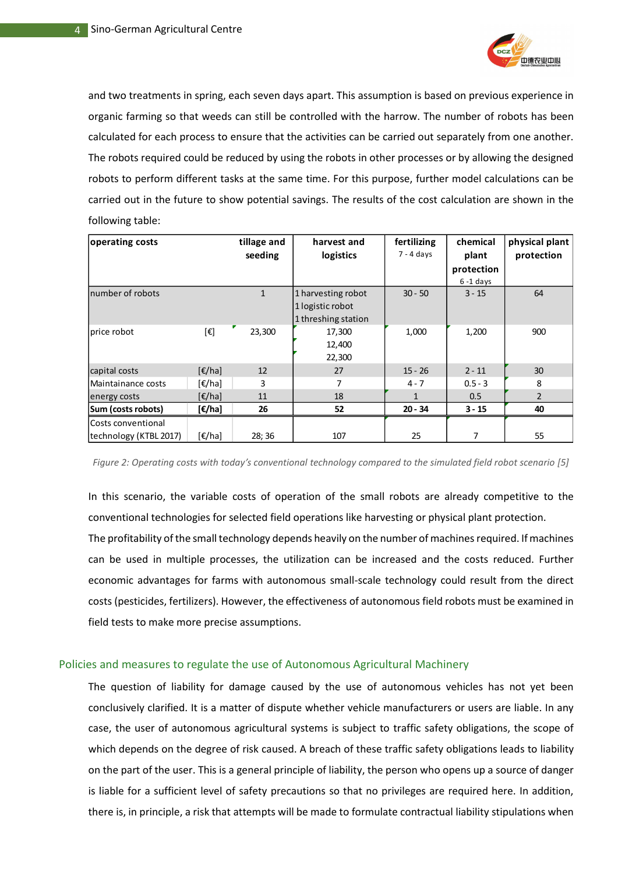

and two treatments in spring, each seven days apart. This assumption is based on previous experience in organic farming so that weeds can still be controlled with the harrow. The number of robots has been calculated for each process to ensure that the activities can be carried out separately from one another. The robots required could be reduced by using the robots in other processes or by allowing the designed robots to perform different tasks at the same time. For this purpose, further model calculations can be carried out in the future to show potential savings. The results of the cost calculation are shown in the following table:

| operating costs        |                                       | tillage and       | harvest and         | fertilizing  | chemical     | physical plant |
|------------------------|---------------------------------------|-------------------|---------------------|--------------|--------------|----------------|
|                        |                                       | seeding           | logistics           | $7 - 4$ days | plant        | protection     |
|                        |                                       |                   |                     |              | protection   |                |
|                        |                                       |                   |                     |              | $6 - 1$ days |                |
| number of robots       |                                       | $\mathbf{1}$      | 1 harvesting robot  | $30 - 50$    | $3 - 15$     | 64             |
|                        |                                       |                   | 1 logistic robot    |              |              |                |
|                        |                                       |                   | 1 threshing station |              |              |                |
| price robot            | [€]                                   | 23,300            | 17,300              | 1,000        | 1,200        | 900            |
|                        |                                       |                   | 12,400              |              |              |                |
|                        |                                       |                   | 22,300              |              |              |                |
| capital costs          | $[\epsilon/ha]$                       | $12 \overline{ }$ | 27                  | $15 - 26$    | $2 - 11$     | 30             |
| Maintainance costs     | $\lceil \epsilon / \text{hal} \rceil$ | 3                 | 7                   | $4 - 7$      | $0.5 - 3$    | 8              |
| energy costs           | $[\epsilon/ha]$                       | 11                | 18                  | $\mathbf{1}$ | 0.5          | $\overline{2}$ |
| Sum (costs robots)     | $[\epsilon/\text{ha}]$                | 26                | 52                  | $20 - 34$    | $3 - 15$     | 40             |
| lCosts conventional    |                                       |                   |                     |              |              |                |
| technology (KTBL 2017) | $[\epsilon/ha]$                       | 28; 36            | 107                 | 25           | 7            | 55             |

*Figure 2: Operating costs with today's conventional technology compared to the simulated field robot scenario [5]*

In this scenario, the variable costs of operation of the small robots are already competitive to the conventional technologies for selected field operations like harvesting or physical plant protection.

The profitability of the small technology depends heavily on the number of machines required. If machines can be used in multiple processes, the utilization can be increased and the costs reduced. Further economic advantages for farms with autonomous small-scale technology could result from the direct costs (pesticides, fertilizers). However, the effectiveness of autonomous field robots must be examined in field tests to make more precise assumptions.

#### Policies and measures to regulate the use of Autonomous Agricultural Machinery

The question of liability for damage caused by the use of autonomous vehicles has not yet been conclusively clarified. It is a matter of dispute whether vehicle manufacturers or users are liable. In any case, the user of autonomous agricultural systems is subject to traffic safety obligations, the scope of which depends on the degree of risk caused. A breach of these traffic safety obligations leads to liability on the part of the user. This is a general principle of liability, the person who opens up a source of danger is liable for a sufficient level of safety precautions so that no privileges are required here. In addition, there is, in principle, a risk that attempts will be made to formulate contractual liability stipulations when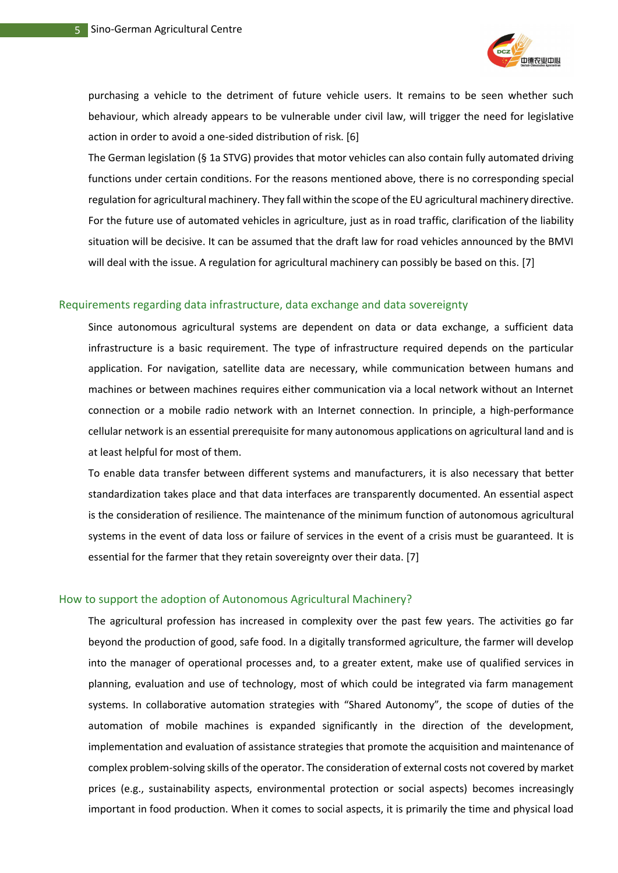

purchasing a vehicle to the detriment of future vehicle users. It remains to be seen whether such behaviour, which already appears to be vulnerable under civil law, will trigger the need for legislative action in order to avoid a one-sided distribution of risk. [6]

The German legislation (§ 1a STVG) provides that motor vehicles can also contain fully automated driving functions under certain conditions. For the reasons mentioned above, there is no corresponding special regulation for agricultural machinery. They fall within the scope of the EU agricultural machinery directive. For the future use of automated vehicles in agriculture, just as in road traffic, clarification of the liability situation will be decisive. It can be assumed that the draft law for road vehicles announced by the BMVI will deal with the issue. A regulation for agricultural machinery can possibly be based on this. [7]

#### Requirements regarding data infrastructure, data exchange and data sovereignty

Since autonomous agricultural systems are dependent on data or data exchange, a sufficient data infrastructure is a basic requirement. The type of infrastructure required depends on the particular application. For navigation, satellite data are necessary, while communication between humans and machines or between machines requires either communication via a local network without an Internet connection or a mobile radio network with an Internet connection. In principle, a high-performance cellular network is an essential prerequisite for many autonomous applications on agricultural land and is at least helpful for most of them.

To enable data transfer between different systems and manufacturers, it is also necessary that better standardization takes place and that data interfaces are transparently documented. An essential aspect is the consideration of resilience. The maintenance of the minimum function of autonomous agricultural systems in the event of data loss or failure of services in the event of a crisis must be guaranteed. It is essential for the farmer that they retain sovereignty over their data. [7]

#### How to support the adoption of Autonomous Agricultural Machinery?

The agricultural profession has increased in complexity over the past few years. The activities go far beyond the production of good, safe food. In a digitally transformed agriculture, the farmer will develop into the manager of operational processes and, to a greater extent, make use of qualified services in planning, evaluation and use of technology, most of which could be integrated via farm management systems. In collaborative automation strategies with "Shared Autonomy", the scope of duties of the automation of mobile machines is expanded significantly in the direction of the development, implementation and evaluation of assistance strategies that promote the acquisition and maintenance of complex problem-solving skills of the operator. The consideration of external costs not covered by market prices (e.g., sustainability aspects, environmental protection or social aspects) becomes increasingly important in food production. When it comes to social aspects, it is primarily the time and physical load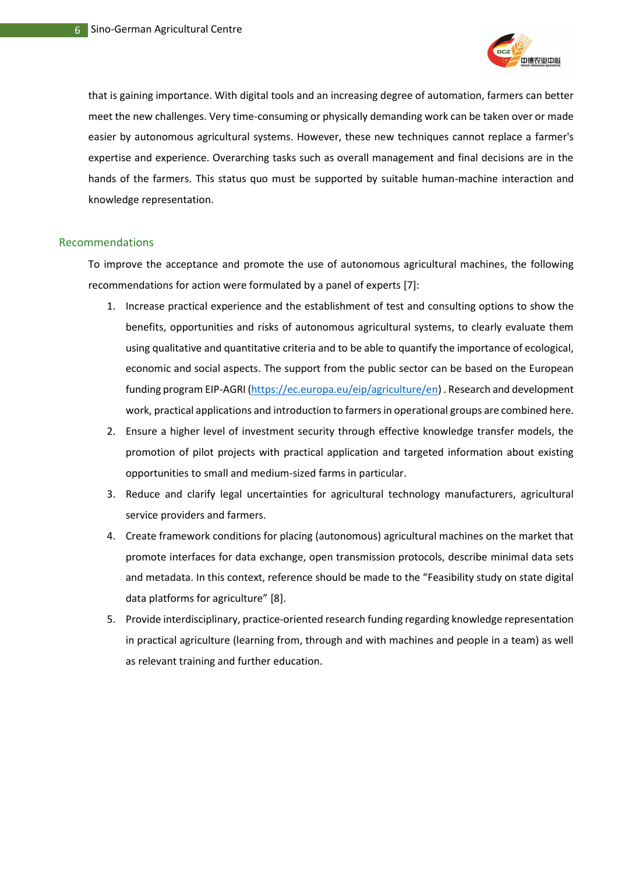

that is gaining importance. With digital tools and an increasing degree of automation, farmers can better meet the new challenges. Very time-consuming or physically demanding work can be taken over or made easier by autonomous agricultural systems. However, these new techniques cannot replace a farmer's expertise and experience. Overarching tasks such as overall management and final decisions are in the hands of the farmers. This status quo must be supported by suitable human-machine interaction and knowledge representation.

#### Recommendations

To improve the acceptance and promote the use of autonomous agricultural machines, the following recommendations for action were formulated by a panel of experts [7]:

- 1. Increase practical experience and the establishment of test and consulting options to show the benefits, opportunities and risks of autonomous agricultural systems, to clearly evaluate them using qualitative and quantitative criteria and to be able to quantify the importance of ecological, economic and social aspects. The support from the public sector can be based on the European funding program EIP-AGRI [\(https://ec.europa.eu/eip/agriculture/en\)](https://ec.europa.eu/eip/agriculture/en) . Research and development work, practical applications and introduction to farmers in operational groups are combined here.
- 2. Ensure a higher level of investment security through effective knowledge transfer models, the promotion of pilot projects with practical application and targeted information about existing opportunities to small and medium-sized farms in particular.
- 3. Reduce and clarify legal uncertainties for agricultural technology manufacturers, agricultural service providers and farmers.
- 4. Create framework conditions for placing (autonomous) agricultural machines on the market that promote interfaces for data exchange, open transmission protocols, describe minimal data sets and metadata. In this context, reference should be made to the "Feasibility study on state digital data platforms for agriculture" [8].
- 5. Provide interdisciplinary, practice-oriented research funding regarding knowledge representation in practical agriculture (learning from, through and with machines and people in a team) as well as relevant training and further education.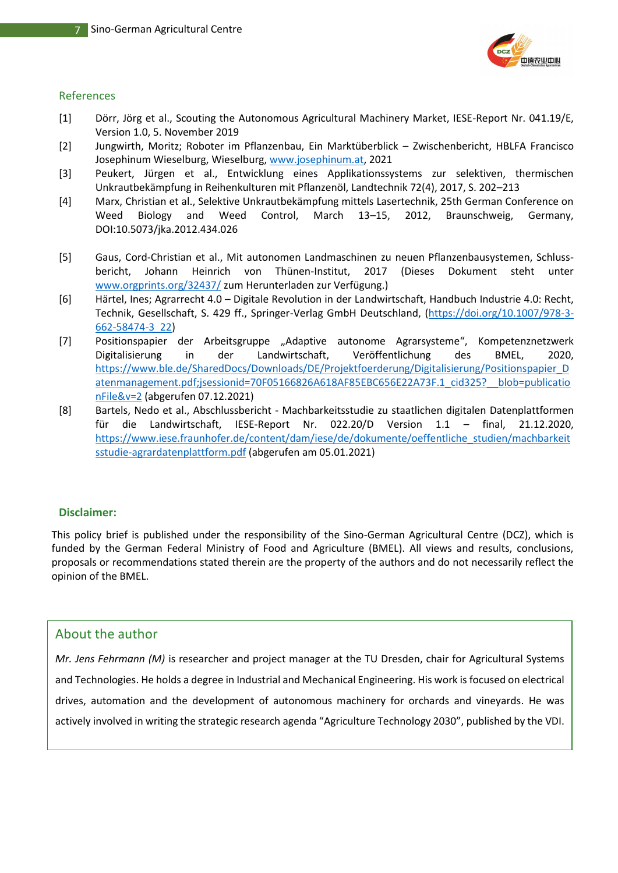

#### References

- [1] Dörr, Jörg et al., Scouting the Autonomous Agricultural Machinery Market, IESE-Report Nr. 041.19/E, Version 1.0, 5. November 2019
- [2] Jungwirth, Moritz; Roboter im Pflanzenbau, Ein Marktüberblick Zwischenbericht, HBLFA Francisco Josephinum Wieselburg, Wieselburg[, www.josephinum.at,](http://www.josephinum.at/) 2021
- [3] Peukert, Jürgen et al., Entwicklung eines Applikationssystems zur selektiven, thermischen Unkrautbekämpfung in Reihenkulturen mit Pflanzenöl, Landtechnik 72(4), 2017, S. 202–213
- [4] Marx, Christian et al., Selektive Unkrautbekämpfung mittels Lasertechnik, 25th German Conference on Weed Biology and Weed Control, March 13–15, 2012, Braunschweig, Germany, DOI:10.5073/jka.2012.434.026
- [5] Gaus, Cord-Christian et al., Mit autonomen Landmaschinen zu neuen Pflanzenbausystemen, Schlussbericht, Johann Heinrich von Thünen-Institut, 2017 (Dieses Dokument steht unter [www.orgprints.org/32437/](file:///C:/Users/User/Downloads/www.orgprints.org/32437/) zum Herunterladen zur Verfügung.)
- [6] Härtel, Ines; Agrarrecht 4.0 Digitale Revolution in der Landwirtschaft, Handbuch Industrie 4.0: Recht, Technik, Gesellschaft, S. 429 ff., Springer-Verlag GmbH Deutschland, [\(https://doi.org/10.1007/978-3-](https://doi.org/10.1007/978-3-662-58474-3_22) [662-58474-3\\_22\)](https://doi.org/10.1007/978-3-662-58474-3_22)
- [7] Positionspapier der Arbeitsgruppe "Adaptive autonome Agrarsysteme", Kompetenznetzwerk Digitalisierung in der Landwirtschaft, Veröffentlichung des BMEL, 2020, [https://www.ble.de/SharedDocs/Downloads/DE/Projektfoerderung/Digitalisierung/Positionspapier\\_D](https://www.ble.de/SharedDocs/Downloads/DE/Projektfoerderung/Digitalisierung/Positionspapier_Datenmanagement.pdf;jsessionid=70F05166826A618AF85EBC656E22A73F.1_cid325?__blob=publicationFile&v=2) [atenmanagement.pdf;jsessionid=70F05166826A618AF85EBC656E22A73F.1\\_cid325?\\_\\_blob=publicatio](https://www.ble.de/SharedDocs/Downloads/DE/Projektfoerderung/Digitalisierung/Positionspapier_Datenmanagement.pdf;jsessionid=70F05166826A618AF85EBC656E22A73F.1_cid325?__blob=publicationFile&v=2) [nFile&v=2](https://www.ble.de/SharedDocs/Downloads/DE/Projektfoerderung/Digitalisierung/Positionspapier_Datenmanagement.pdf;jsessionid=70F05166826A618AF85EBC656E22A73F.1_cid325?__blob=publicationFile&v=2) (abgerufen 07.12.2021)
- [8] Bartels, Nedo et al., Abschlussbericht Machbarkeitsstudie zu staatlichen digitalen Datenplattformen für die Landwirtschaft, IESE-Report Nr. 022.20/D Version 1.1 – final, 21.12.2020, [https://www.iese.fraunhofer.de/content/dam/iese/de/dokumente/oeffentliche\\_studien/machbarkeit](https://www.iese.fraunhofer.de/content/dam/iese/de/dokumente/oeffentliche_studien/machbarkeitsstudie-agrardatenplattform.pdf) [sstudie-agrardatenplattform.pdf](https://www.iese.fraunhofer.de/content/dam/iese/de/dokumente/oeffentliche_studien/machbarkeitsstudie-agrardatenplattform.pdf) (abgerufen am 05.01.2021)

### **Disclaimer:**

This policy brief is published under the responsibility of the Sino-German Agricultural Centre (DCZ), which is funded by the German Federal Ministry of Food and Agriculture (BMEL). All views and results, conclusions, proposals or recommendations stated therein are the property of the authors and do not necessarily reflect the opinion of the BMEL.

## About the author

*Mr. Jens Fehrmann (M)* is researcher and project manager at the TU Dresden, chair for Agricultural Systems and Technologies. He holds a degree in Industrial and Mechanical Engineering. His work is focused on electrical drives, automation and the development of autonomous machinery for orchards and vineyards. He was actively involved in writing the strategic research agenda "Agriculture Technology 2030", published by the VDI.